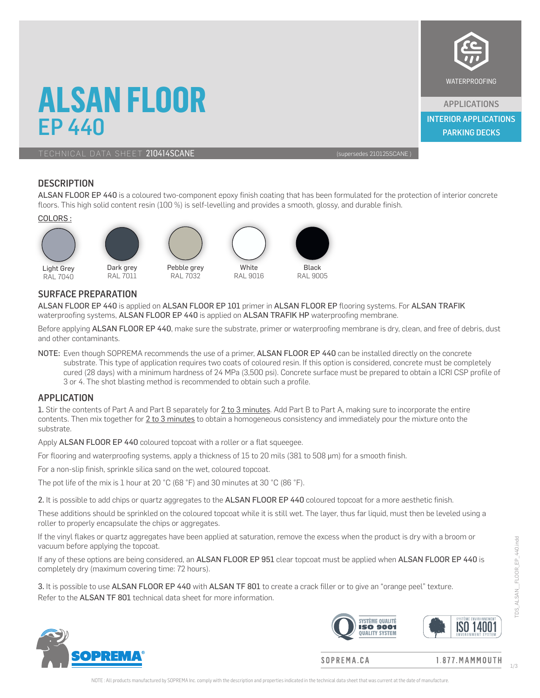## **ALSAN FLOOR** EP 440

TECHNICAL DATA SHEET 210414SCANE (supersedes 210125SCANE)

APPLICATIONS

WATERPROOFING

PARKING DECKS INTERIOR APPLICATIONS

#### **DESCRIPTION**

ALSAN FLOOR EP 440 is a coloured two-component epoxy finish coating that has been formulated for the protection of interior concrete floors. This high solid content resin (100 %) is self-levelling and provides a smooth, glossy, and durable finish.

#### COLORS :



#### SURFACE PREPARATION

ALSAN FLOOR EP 440 is applied on ALSAN FLOOR EP 101 primer in ALSAN FLOOR EP flooring systems. For ALSAN TRAFIK waterproofing systems, ALSAN FLOOR EP 440 is applied on ALSAN TRAFIK HP waterproofing membrane.

Before applying ALSAN FLOOR EP 440, make sure the substrate, primer or waterproofing membrane is dry, clean, and free of debris, dust and other contaminants.

NOTE: Even though SOPREMA recommends the use of a primer, ALSAN FLOOR EP 440 can be installed directly on the concrete substrate. This type of application requires two coats of coloured resin. If this option is considered, concrete must be completely cured (28 days) with a minimum hardness of 24 MPa (3,500 psi). Concrete surface must be prepared to obtain a ICRI CSP profile of 3 or 4. The shot blasting method is recommended to obtain such a profile.

#### APPLICATION

1. Stir the contents of Part A and Part B separately for 2 to 3 minutes. Add Part B to Part A, making sure to incorporate the entire contents. Then mix together for 2 to 3 minutes to obtain a homogeneous consistency and immediately pour the mixture onto the substrate.

Apply ALSAN FLOOR EP 440 coloured topcoat with a roller or a flat squeegee.

For flooring and waterproofing systems, apply a thickness of 15 to 20 mils (381 to 508 µm) for a smooth finish.

For a non-slip finish, sprinkle silica sand on the wet, coloured topcoat.

The pot life of the mix is 1 hour at 20 °C (68 °F) and 30 minutes at 30 °C (86 °F).

2. It is possible to add chips or quartz aggregates to the ALSAN FLOOR EP 440 coloured topcoat for a more aesthetic finish.

These additions should be sprinkled on the coloured topcoat while it is still wet. The layer, thus far liquid, must then be leveled using a roller to properly encapsulate the chips or aggregates.

If the vinyl flakes or quartz aggregates have been applied at saturation, remove the excess when the product is dry with a broom or vacuum before applying the topcoat.

If any of these options are being considered, an ALSAN FLOOR EP 951 clear topcoat must be applied when ALSAN FLOOR EP 440 is completely dry (maximum covering time: 72 hours).

3. It is possible to use ALSAN FLOOR EP 440 with ALSAN TF 801 to create a crack filler or to give an "orange peel" texture. Refer to the ALSAN TF 801 technical data sheet for more information.





SOPREMA.CA

 $1.877. MAMMOLUTION$ 

TDS\_ALSAN\_\_FLOOR\_EP\_440.indd

ALSAN FLOOR EP 440.indd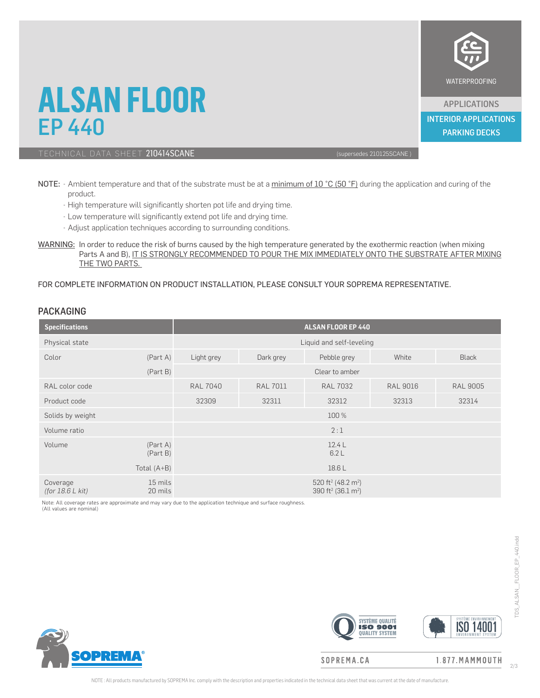

APPLICATIONS PARKING DECKS INTERIOR APPLICATIONS

## **ALSAN FLOOR** EP 440

### TECHNICAL DATA SHEET 210414SCANE (supersedes 210125SCANE)

- NOTE: Ambient temperature and that of the substrate must be at a minimum of 10 °C (50 °F) during the application and curing of the product.
	- High temperature will significantly shorten pot life and drying time.
	- Low temperature will significantly extend pot life and drying time.
	- Adjust application techniques according to surrounding conditions.
- WARNING: In order to reduce the risk of burns caused by the high temperature generated by the exothermic reaction (when mixing Parts A and B), IT IS STRONGLY RECOMMENDED TO POUR THE MIX IMMEDIATELY ONTO THE SUBSTRATE AFTER MIXING THE TWO PARTS.

#### FOR COMPLETE INFORMATION ON PRODUCT INSTALLATION, PLEASE CONSULT YOUR SOPREMA REPRESENTATIVE.

#### PACKAGING

| <b>Specifications</b>          |                      | <b>ALSAN FLOOR EP 440</b> |                 |                                                                                          |                 |                 |  |  |  |
|--------------------------------|----------------------|---------------------------|-----------------|------------------------------------------------------------------------------------------|-----------------|-----------------|--|--|--|
| Physical state                 |                      | Liquid and self-leveling  |                 |                                                                                          |                 |                 |  |  |  |
| Color                          | (Part A)             | Light grey                | Dark grey       | Pebble grey                                                                              | White           | <b>Black</b>    |  |  |  |
|                                | (Part B)             | Clear to amber            |                 |                                                                                          |                 |                 |  |  |  |
| RAL color code                 |                      | <b>RAL 7040</b>           | <b>RAL 7011</b> | <b>RAL 7032</b>                                                                          | <b>RAL 9016</b> | <b>RAL 9005</b> |  |  |  |
| Product code                   |                      | 32309                     | 32311           | 32312                                                                                    | 32313           | 32314           |  |  |  |
| Solids by weight               |                      |                           |                 | 100 %                                                                                    |                 |                 |  |  |  |
| Volume ratio                   |                      |                           |                 | 2:1                                                                                      |                 |                 |  |  |  |
| Volume                         | (Part A)<br>(Part B) |                           |                 | 12.4L<br>6.2L                                                                            |                 |                 |  |  |  |
|                                | Total $(A+B)$        | 18.6 L                    |                 |                                                                                          |                 |                 |  |  |  |
| Coverage<br>(for $18.6 L$ kit) | 15 mils<br>20 mils   |                           |                 | 520 ft <sup>2</sup> (48.2 m <sup>2</sup> )<br>390 ft <sup>2</sup> (36.1 m <sup>2</sup> ) |                 |                 |  |  |  |

Note: All coverage rates are approximate and may vary due to the application technique and surface roughness.







#### SOPREMA.CA

1.877.MAMMOUTH